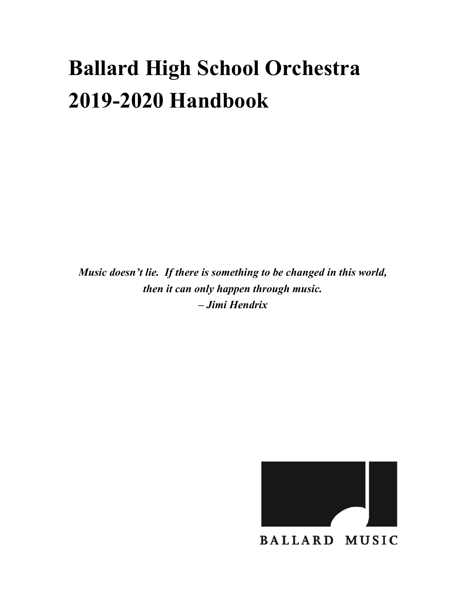# **Ballard High School Orchestra 2019-2020 Handbook**

*Music doesn't lie. If there is something to be changed in this world, then it can only happen through music. – Jimi Hendrix*



**BALLARD MUSIC**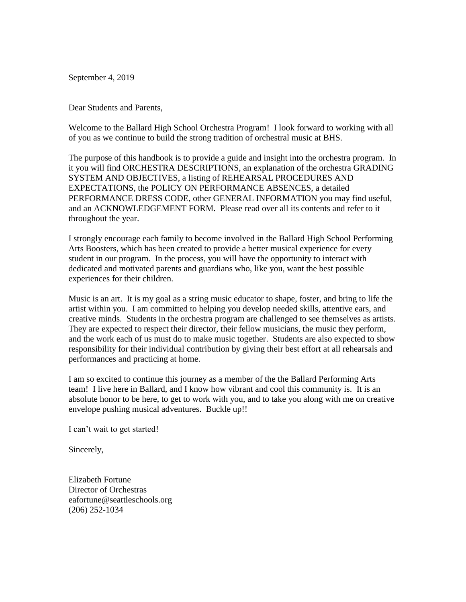September 4, 2019

Dear Students and Parents,

Welcome to the Ballard High School Orchestra Program! I look forward to working with all of you as we continue to build the strong tradition of orchestral music at BHS.

The purpose of this handbook is to provide a guide and insight into the orchestra program. In it you will find ORCHESTRA DESCRIPTIONS, an explanation of the orchestra GRADING SYSTEM AND OBJECTIVES, a listing of REHEARSAL PROCEDURES AND EXPECTATIONS, the POLICY ON PERFORMANCE ABSENCES, a detailed PERFORMANCE DRESS CODE, other GENERAL INFORMATION you may find useful, and an ACKNOWLEDGEMENT FORM. Please read over all its contents and refer to it throughout the year.

I strongly encourage each family to become involved in the Ballard High School Performing Arts Boosters, which has been created to provide a better musical experience for every student in our program. In the process, you will have the opportunity to interact with dedicated and motivated parents and guardians who, like you, want the best possible experiences for their children.

Music is an art. It is my goal as a string music educator to shape, foster, and bring to life the artist within you. I am committed to helping you develop needed skills, attentive ears, and creative minds.Students in the orchestra program are challenged to see themselves as artists. They are expected to respect their director, their fellow musicians, the music they perform, and the work each of us must do to make music together. Students are also expected to show responsibility for their individual contribution by giving their best effort at all rehearsals and performances and practicing at home.

I am so excited to continue this journey as a member of the the Ballard Performing Arts team! I live here in Ballard, and I know how vibrant and cool this community is. It is an absolute honor to be here, to get to work with you, and to take you along with me on creative envelope pushing musical adventures. Buckle up!!

I can't wait to get started!

Sincerely,

Elizabeth Fortune Director of Orchestras eafortune@seattleschools.org (206) 252-1034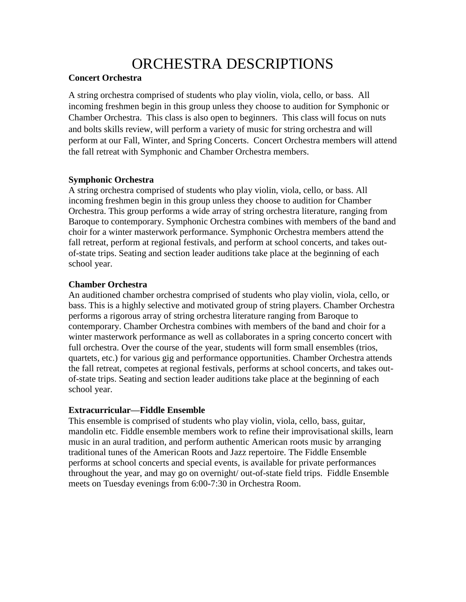# ORCHESTRA DESCRIPTIONS

### **Concert Orchestra**

A string orchestra comprised of students who play violin, viola, cello, or bass. All incoming freshmen begin in this group unless they choose to audition for Symphonic or Chamber Orchestra. This class is also open to beginners. This class will focus on nuts and bolts skills review, will perform a variety of music for string orchestra and will perform at our Fall, Winter, and Spring Concerts. Concert Orchestra members will attend the fall retreat with Symphonic and Chamber Orchestra members.

### **Symphonic Orchestra**

A string orchestra comprised of students who play violin, viola, cello, or bass. All incoming freshmen begin in this group unless they choose to audition for Chamber Orchestra. This group performs a wide array of string orchestra literature, ranging from Baroque to contemporary. Symphonic Orchestra combines with members of the band and choir for a winter masterwork performance. Symphonic Orchestra members attend the fall retreat, perform at regional festivals, and perform at school concerts, and takes outof-state trips. Seating and section leader auditions take place at the beginning of each school year.

### **Chamber Orchestra**

An auditioned chamber orchestra comprised of students who play violin, viola, cello, or bass. This is a highly selective and motivated group of string players. Chamber Orchestra performs a rigorous array of string orchestra literature ranging from Baroque to contemporary. Chamber Orchestra combines with members of the band and choir for a winter masterwork performance as well as collaborates in a spring concerto concert with full orchestra. Over the course of the year, students will form small ensembles (trios, quartets, etc.) for various gig and performance opportunities. Chamber Orchestra attends the fall retreat, competes at regional festivals, performs at school concerts, and takes outof-state trips. Seating and section leader auditions take place at the beginning of each school year.

### **Extracurricular—Fiddle Ensemble**

This ensemble is comprised of students who play violin, viola, cello, bass, guitar, mandolin etc. Fiddle ensemble members work to refine their improvisational skills, learn music in an aural tradition, and perform authentic American roots music by arranging traditional tunes of the American Roots and Jazz repertoire. The Fiddle Ensemble performs at school concerts and special events, is available for private performances throughout the year, and may go on overnight/ out-of-state field trips. Fiddle Ensemble meets on Tuesday evenings from 6:00-7:30 in Orchestra Room.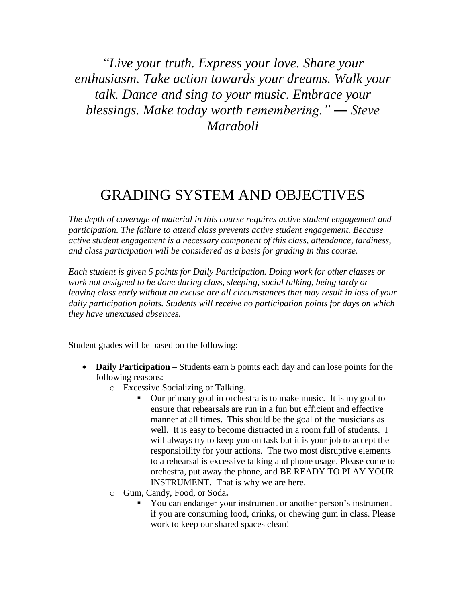*"Live your truth. Express your love. Share your enthusiasm. Take action towards your dreams. Walk your talk. Dance and sing to your music. Embrace your blessings. Make today worth remembering." ― Steve Maraboli*

### GRADING SYSTEM AND OBJECTIVES

*The depth of coverage of material in this course requires active student engagement and participation. The failure to attend class prevents active student engagement. Because active student engagement is a necessary component of this class, attendance, tardiness, and class participation will be considered as a basis for grading in this course.*

*Each student is given 5 points for Daily Participation. Doing work for other classes or work not assigned to be done during class, sleeping, social talking, being tardy or leaving class early without an excuse are all circumstances that may result in loss of your daily participation points. Students will receive no participation points for days on which they have unexcused absences.*

Student grades will be based on the following:

- **Daily Participation –** Students earn 5 points each day and can lose points for the following reasons:
	- o Excessive Socializing or Talking.
		- Our primary goal in orchestra is to make music. It is my goal to ensure that rehearsals are run in a fun but efficient and effective manner at all times. This should be the goal of the musicians as well. It is easy to become distracted in a room full of students. I will always try to keep you on task but it is your job to accept the responsibility for your actions. The two most disruptive elements to a rehearsal is excessive talking and phone usage. Please come to orchestra, put away the phone, and BE READY TO PLAY YOUR INSTRUMENT. That is why we are here.
	- o Gum, Candy, Food, or Soda**.**
		- You can endanger your instrument or another person's instrument if you are consuming food, drinks, or chewing gum in class. Please work to keep our shared spaces clean!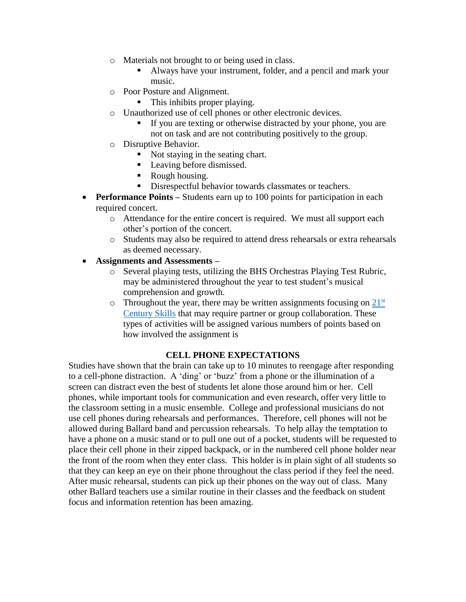- o Materials not brought to or being used in class.
	- Always have your instrument, folder, and a pencil and mark your music.
- o Poor Posture and Alignment.
	- This inhibits proper playing.
- o Unauthorized use of cell phones or other electronic devices.
	- **If you are texting or otherwise distracted by your phone, you are** not on task and are not contributing positively to the group.
- o Disruptive Behavior.
	- Not staying in the seating chart.
	- Leaving before dismissed.
	- Rough housing.
	- Disrespectful behavior towards classmates or teachers.
- **Performance Points** Students earn up to 100 points for participation in each required concert.
	- o Attendance for the entire concert is required. We must all support each other's portion of the concert.
	- o Students may also be required to attend dress rehearsals or extra rehearsals as deemed necessary.
- **Assignments and Assessments –**
	- o Several playing tests, utilizing the BHS Orchestras Playing Test Rubric, may be administered throughout the year to test student's musical comprehension and growth.
	- $\circ$  Throughout the year, there may be written assignments focusing on  $21<sup>st</sup>$ [Century](https://www.aeseducation.com/career-readiness/what-are-21st-century-skills) Skills that may require partner or group collaboration. These types of activities will be assigned various numbers of points based on how involved the assignment is

#### **CELL PHONE EXPECTATIONS**

Studies have shown that the brain can take up to 10 minutes to reengage after responding to a cell-phone distraction. A 'ding' or 'buzz' from a phone or the illumination of a screen can distract even the best of students let alone those around him or her. Cell phones, while important tools for communication and even research, offer very little to the classroom setting in a music ensemble. College and professional musicians do not use cell phones during rehearsals and performances. Therefore, cell phones will not be allowed during Ballard band and percussion rehearsals. To help allay the temptation to have a phone on a music stand or to pull one out of a pocket, students will be requested to place their cell phone in their zipped backpack, or in the numbered cell phone holder near the front of the room when they enter class. This holder is in plain sight of all students so that they can keep an eye on their phone throughout the class period if they feel the need. After music rehearsal, students can pick up their phones on the way out of class. Many other Ballard teachers use a similar routine in their classes and the feedback on student focus and information retention has been amazing.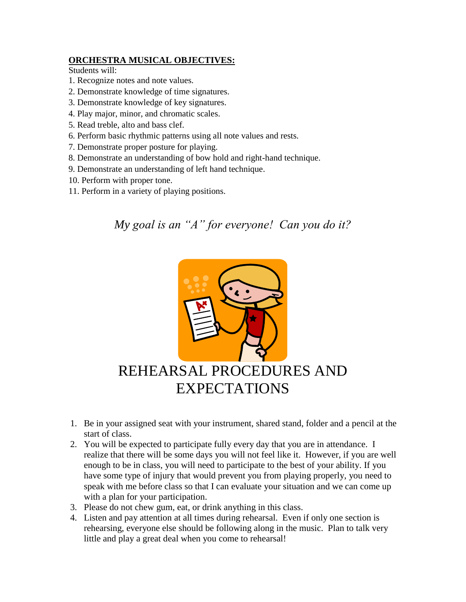### **ORCHESTRA MUSICAL OBJECTIVES:**

Students will:

- 1. Recognize notes and note values.
- 2. Demonstrate knowledge of time signatures.
- 3. Demonstrate knowledge of key signatures.
- 4. Play major, minor, and chromatic scales.
- 5. Read treble, alto and bass clef.
- 6. Perform basic rhythmic patterns using all note values and rests.
- 7. Demonstrate proper posture for playing.
- 8. Demonstrate an understanding of bow hold and right-hand technique.
- 9. Demonstrate an understanding of left hand technique.
- 10. Perform with proper tone.
- 11. Perform in a variety of playing positions.

### *My goal is an "A" for everyone! Can you do it?*



## REHEARSAL PROCEDURES AND EXPECTATIONS

- 1. Be in your assigned seat with your instrument, shared stand, folder and a pencil at the start of class.
- 2. You will be expected to participate fully every day that you are in attendance. I realize that there will be some days you will not feel like it. However, if you are well enough to be in class, you will need to participate to the best of your ability. If you have some type of injury that would prevent you from playing properly, you need to speak with me before class so that I can evaluate your situation and we can come up with a plan for your participation.
- 3. Please do not chew gum, eat, or drink anything in this class.
- 4. Listen and pay attention at all times during rehearsal. Even if only one section is rehearsing, everyone else should be following along in the music. Plan to talk very little and play a great deal when you come to rehearsal!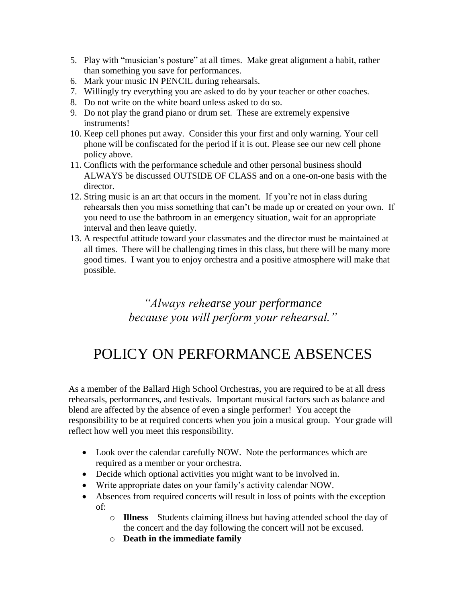- 5. Play with "musician's posture" at all times. Make great alignment a habit, rather than something you save for performances.
- 6. Mark your music IN PENCIL during rehearsals.
- 7. Willingly try everything you are asked to do by your teacher or other coaches.
- 8. Do not write on the white board unless asked to do so.
- 9. Do not play the grand piano or drum set. These are extremely expensive instruments!
- 10. Keep cell phones put away. Consider this your first and only warning. Your cell phone will be confiscated for the period if it is out. Please see our new cell phone policy above.
- 11. Conflicts with the performance schedule and other personal business should ALWAYS be discussed OUTSIDE OF CLASS and on a one-on-one basis with the director.
- 12. String music is an art that occurs in the moment. If you're not in class during rehearsals then you miss something that can't be made up or created on your own. If you need to use the bathroom in an emergency situation, wait for an appropriate interval and then leave quietly.
- 13. A respectful attitude toward your classmates and the director must be maintained at all times. There will be challenging times in this class, but there will be many more good times. I want you to enjoy orchestra and a positive atmosphere will make that possible.

*"Always rehearse your performance because you will perform your rehearsal."*

# POLICY ON PERFORMANCE ABSENCES

As a member of the Ballard High School Orchestras, you are required to be at all dress rehearsals, performances, and festivals. Important musical factors such as balance and blend are affected by the absence of even a single performer! You accept the responsibility to be at required concerts when you join a musical group. Your grade will reflect how well you meet this responsibility.

- Look over the calendar carefully NOW. Note the performances which are required as a member or your orchestra.
- Decide which optional activities you might want to be involved in.
- Write appropriate dates on your family's activity calendar NOW.
- Absences from required concerts will result in loss of points with the exception of:
	- o **Illness** Students claiming illness but having attended school the day of the concert and the day following the concert will not be excused.
	- o **Death in the immediate family**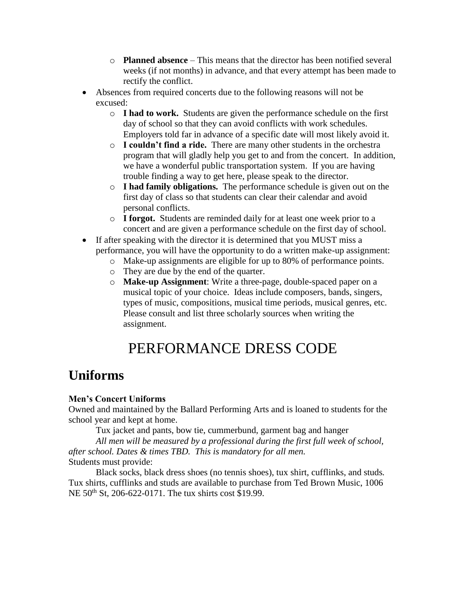- o **Planned absence** This means that the director has been notified several weeks (if not months) in advance, and that every attempt has been made to rectify the conflict.
- Absences from required concerts due to the following reasons will not be excused:
	- o **I had to work.** Students are given the performance schedule on the first day of school so that they can avoid conflicts with work schedules. Employers told far in advance of a specific date will most likely avoid it.
	- o **I couldn't find a ride.** There are many other students in the orchestra program that will gladly help you get to and from the concert. In addition, we have a wonderful public transportation system. If you are having trouble finding a way to get here, please speak to the director.
	- o **I had family obligations.** The performance schedule is given out on the first day of class so that students can clear their calendar and avoid personal conflicts.
	- o **I forgot.** Students are reminded daily for at least one week prior to a concert and are given a performance schedule on the first day of school.
- If after speaking with the director it is determined that you MUST miss a performance, you will have the opportunity to do a written make-up assignment:
	- o Make-up assignments are eligible for up to 80% of performance points.
	- o They are due by the end of the quarter.
	- o **Make-up Assignment**: Write a three-page, double-spaced paper on a musical topic of your choice. Ideas include composers, bands, singers, types of music, compositions, musical time periods, musical genres, etc. Please consult and list three scholarly sources when writing the assignment.

# PERFORMANCE DRESS CODE

### **Uniforms**

### **Men's Concert Uniforms**

Owned and maintained by the Ballard Performing Arts and is loaned to students for the school year and kept at home.

Tux jacket and pants, bow tie, cummerbund, garment bag and hanger

*All men will be measured by a professional during the first full week of school, after school. Dates & times TBD. This is mandatory for all men.* Students must provide:

Black socks, black dress shoes (no tennis shoes), tux shirt, cufflinks, and studs*.* Tux shirts, cufflinks and studs are available to purchase from Ted Brown Music, 1006 NE 50<sup>th</sup> St, 206-622-0171. The tux shirts cost \$19.99.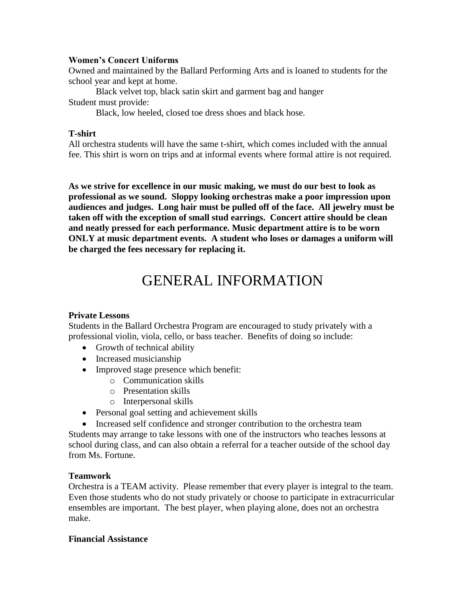#### **Women's Concert Uniforms**

Owned and maintained by the Ballard Performing Arts and is loaned to students for the school year and kept at home.

Black velvet top, black satin skirt and garment bag and hanger Student must provide:

Black, low heeled, closed toe dress shoes and black hose*.*

### **T-shirt**

All orchestra students will have the same t-shirt, which comes included with the annual fee. This shirt is worn on trips and at informal events where formal attire is not required.

**As we strive for excellence in our music making, we must do our best to look as professional as we sound. Sloppy looking orchestras make a poor impression upon audiences and judges. Long hair must be pulled off of the face. All jewelry must be taken off with the exception of small stud earrings. Concert attire should be clean and neatly pressed for each performance. Music department attire is to be worn ONLY at music department events. A student who loses or damages a uniform will be charged the fees necessary for replacing it.**

# GENERAL INFORMATION

### **Private Lessons**

Students in the Ballard Orchestra Program are encouraged to study privately with a professional violin, viola, cello, or bass teacher. Benefits of doing so include:

- Growth of technical ability
- Increased musicianship
- Improved stage presence which benefit:
	- o Communication skills
	- o Presentation skills
	- o Interpersonal skills
- Personal goal setting and achievement skills
- Increased self confidence and stronger contribution to the orchestra team

Students may arrange to take lessons with one of the instructors who teaches lessons at school during class, and can also obtain a referral for a teacher outside of the school day from Ms. Fortune.

### **Teamwork**

Orchestra is a TEAM activity. Please remember that every player is integral to the team. Even those students who do not study privately or choose to participate in extracurricular ensembles are important. The best player, when playing alone, does not an orchestra make.

### **Financial Assistance**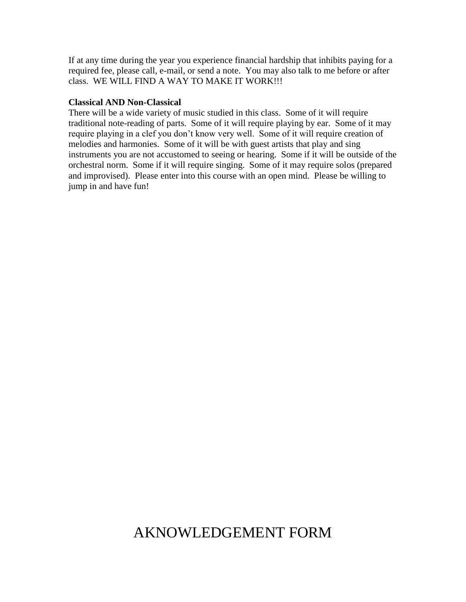If at any time during the year you experience financial hardship that inhibits paying for a required fee, please call, e-mail, or send a note. You may also talk to me before or after class. WE WILL FIND A WAY TO MAKE IT WORK!!!

#### **Classical AND Non-Classical**

There will be a wide variety of music studied in this class. Some of it will require traditional note-reading of parts. Some of it will require playing by ear. Some of it may require playing in a clef you don't know very well. Some of it will require creation of melodies and harmonies. Some of it will be with guest artists that play and sing instruments you are not accustomed to seeing or hearing. Some if it will be outside of the orchestral norm. Some if it will require singing. Some of it may require solos (prepared and improvised). Please enter into this course with an open mind. Please be willing to jump in and have fun!

### AKNOWLEDGEMENT FORM